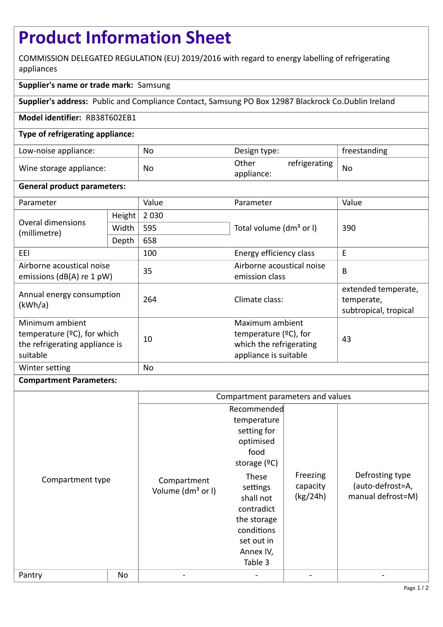# **Product Information Sheet**

COMMISSION DELEGATED REGULATION (EU) 2019/2016 with regard to energy labelling of refrigerating appliances

## **Supplier's name or trade mark:** Samsung

**Supplier's address:** Public and Compliance Contact, Samsung PO Box 12987 Blackrock Co.Dublin Ireland

### **Model identifier:** RB38T602EB1

### **Type of refrigerating appliance:**

| Low-noise appliance:    | No | Design type:                         | freestanding |
|-------------------------|----|--------------------------------------|--------------|
| Wine storage appliance: | No | Other<br>refrigerating<br>appliance: | No           |

### **General product parameters:**

| Parameter                                                                                       |        | Value     | Parameter                                                                                       | Value                                                      |
|-------------------------------------------------------------------------------------------------|--------|-----------|-------------------------------------------------------------------------------------------------|------------------------------------------------------------|
| Overal dimensions<br>(millimetre)                                                               | Height | 2 0 3 0   |                                                                                                 | 390                                                        |
|                                                                                                 | Width  | 595       | Total volume (dm <sup>3</sup> or I)                                                             |                                                            |
|                                                                                                 | Depth  | 658       |                                                                                                 |                                                            |
| EEI                                                                                             |        | 100       | Energy efficiency class                                                                         | E                                                          |
| Airborne acoustical noise<br>emissions ( $dB(A)$ re 1 pW)                                       |        | 35        | Airborne acoustical noise<br>emission class                                                     | B                                                          |
| Annual energy consumption<br>(kWh/a)                                                            |        | 264       | Climate class:                                                                                  | extended temperate,<br>temperate,<br>subtropical, tropical |
| Minimum ambient<br>temperature $(2C)$ , for which<br>the refrigerating appliance is<br>suitable |        | 10        | Maximum ambient<br>temperature $(2C)$ , for<br>which the refrigerating<br>appliance is suitable | 43                                                         |
| Winter setting                                                                                  |        | <b>No</b> |                                                                                                 |                                                            |

### **Compartment Parameters:**

|                  |    | Compartment parameters and values            |                                                                                                                                  |                                  |                                                          |
|------------------|----|----------------------------------------------|----------------------------------------------------------------------------------------------------------------------------------|----------------------------------|----------------------------------------------------------|
| Compartment type |    | Compartment<br>Volume (dm <sup>3</sup> or I) | Recommended<br>temperature<br>setting for<br>optimised<br>food<br>storage $(°C)$<br>These<br>settings<br>shall not<br>contradict | Freezing<br>capacity<br>(kg/24h) | Defrosting type<br>(auto-defrost=A,<br>manual defrost=M) |
|                  |    |                                              | the storage<br>conditions<br>set out in<br>Annex IV,<br>Table 3                                                                  |                                  |                                                          |
| Pantry           | No |                                              |                                                                                                                                  |                                  |                                                          |